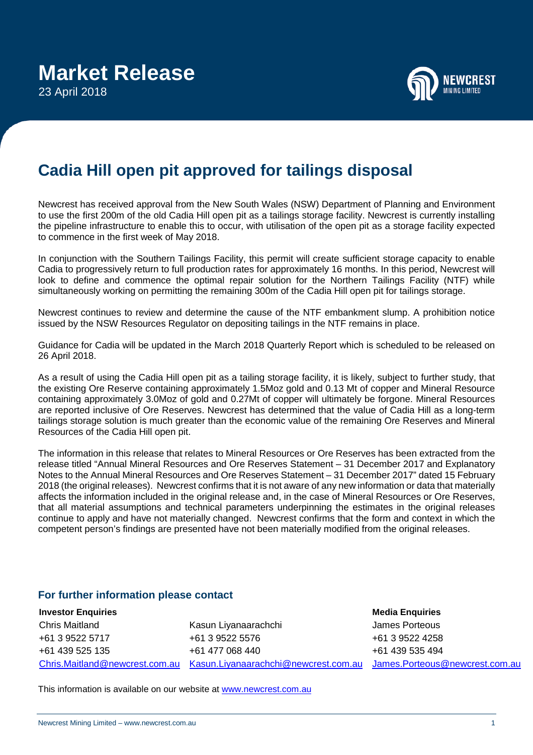

## **Cadia Hill open pit approved for tailings disposal**

Newcrest has received approval from the New South Wales (NSW) Department of Planning and Environment to use the first 200m of the old Cadia Hill open pit as a tailings storage facility. Newcrest is currently installing the pipeline infrastructure to enable this to occur, with utilisation of the open pit as a storage facility expected to commence in the first week of May 2018.

In conjunction with the Southern Tailings Facility, this permit will create sufficient storage capacity to enable Cadia to progressively return to full production rates for approximately 16 months. In this period, Newcrest will look to define and commence the optimal repair solution for the Northern Tailings Facility (NTF) while simultaneously working on permitting the remaining 300m of the Cadia Hill open pit for tailings storage.

Newcrest continues to review and determine the cause of the NTF embankment slump. A prohibition notice issued by the NSW Resources Regulator on depositing tailings in the NTF remains in place.

Guidance for Cadia will be updated in the March 2018 Quarterly Report which is scheduled to be released on 26 April 2018.

As a result of using the Cadia Hill open pit as a tailing storage facility, it is likely, subject to further study, that the existing Ore Reserve containing approximately 1.5Moz gold and 0.13 Mt of copper and Mineral Resource containing approximately 3.0Moz of gold and 0.27Mt of copper will ultimately be forgone. Mineral Resources are reported inclusive of Ore Reserves. Newcrest has determined that the value of Cadia Hill as a long-term tailings storage solution is much greater than the economic value of the remaining Ore Reserves and Mineral Resources of the Cadia Hill open pit.

The information in this release that relates to Mineral Resources or Ore Reserves has been extracted from the release titled "Annual Mineral Resources and Ore Reserves Statement – 31 December 2017 and Explanatory Notes to the Annual Mineral Resources and Ore Reserves Statement – 31 December 2017" dated 15 February 2018 (the original releases). Newcrest confirms that it is not aware of any new information or data that materially affects the information included in the original release and, in the case of Mineral Resources or Ore Reserves, that all material assumptions and technical parameters underpinning the estimates in the original releases continue to apply and have not materially changed. Newcrest confirms that the form and context in which the competent person's findings are presented have not been materially modified from the original releases.

## **For further information please contact**

**Investor Enquiries** Chris Maitland +61 3 9522 5717 +61 439 525 135

<u>[Chris.Maitland@newcrest.com.au](mailto:Chris.Maitland@newcrest.com.au) [Kasun.Liyanaarachchi@newcrest.com.au](mailto:Kasun.Liyanaarachchi@newcrest.com.au) [James.Porteous@newcrest.com.au](mailto:James.Porteous@newcrest.com.au)</u> Kasun Liyanaarachchi +61 3 9522 5576 +61 477 068 440

**Media Enquiries** James Porteous +61 3 9522 4258 +61 439 535 494

This information is available on our website at [www.newcrest.com.au](http://www.newcrest.com.au/)